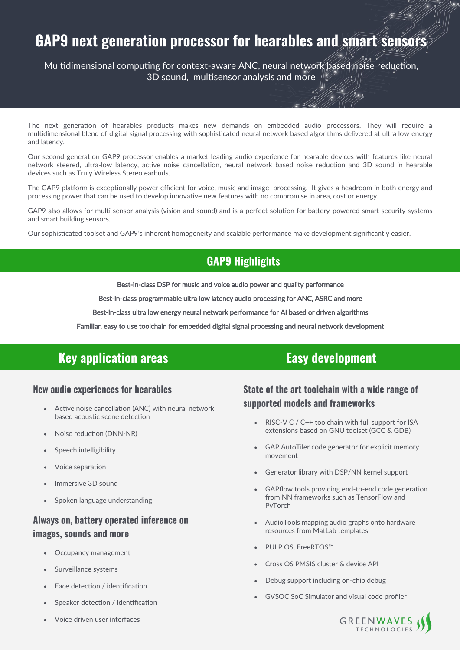# GAP9 next generation processor for hearables and smart sensors

Multidimensional computing for context-aware ANC, neural network based noise reduction, 3D sound, multisensor analysis and more

The next generation of hearables products makes new demands on embedded audio processors. They will require a multidimensional blend of digital signal processing with sophisticated neural network based algorithms delivered at ultra low energy and latency.

Our second generation GAP9 processor enables a market leading audio experience for hearable devices with features like neural network steered, ultra-low latency, active noise cancellation, neural network based noise reduction and 3D sound in hearable devices such as Truly Wireless Stereo earbuds.

The GAP9 platform is exceptionally power efficient for voice, music and image processing. It gives a headroom in both energy and processing power that can be used to develop innovative new features with no compromise in area, cost or energy.

GAP9 also allows for multi sensor analysis (vision and sound) and is a perfect solution for battery-powered smart security systems and smart building sensors.

Our sophisticated toolset and GAP9's inherent homogeneity and scalable performance make development significantly easier.

## **GAP9 Highlights**

Best-in-class DSP for music and voice audio power and quality performance

Best-in-class programmable ultra low latency audio processing for ANC, ASRC and more Ĩ

Best-in-class ultra low energy neural network performance for AI based or driven algorithms Ĩ

Familiar, easy to use toolchain for embedded digital signal processing and neural network development

## **Key application areas**

#### **New audio experiences for hearables**

- Active noise cancellation (ANC) with neural network based acoustic scene detection
- Noise reduction (DNN-NR)
- Speech intelligibility
- Voice separation
- Immersive 3D sound
- Spoken language understanding

#### Always on, battery operated inference on images, sounds and more

- Occupancy management
- Surveillance systems
- Face detection / identification
- Speaker detection / identification
- Voice driven user interfaces

## **Easy development**

### State of the art toolchain with a wide range of supported models and frameworks

- RISC-V C / C++ toolchain with full support for ISA extensions based on GNU toolset (GCC & GDB)
- GAP AutoTiler code generator for explicit memory movement
- Generator library with DSP/NN kernel support
- GAPflow tools providing end-to-end code generation from NN frameworks such as TensorFlow and PyTorch
- AudioTools mapping audio graphs onto hardware resources from MatLab templates
- PULP OS, FreeRTOS™
- Cross OS PMSIS cluster & device API
- Debug support including on-chip debug
- GVSOC SoC Simulator and visual code profiler